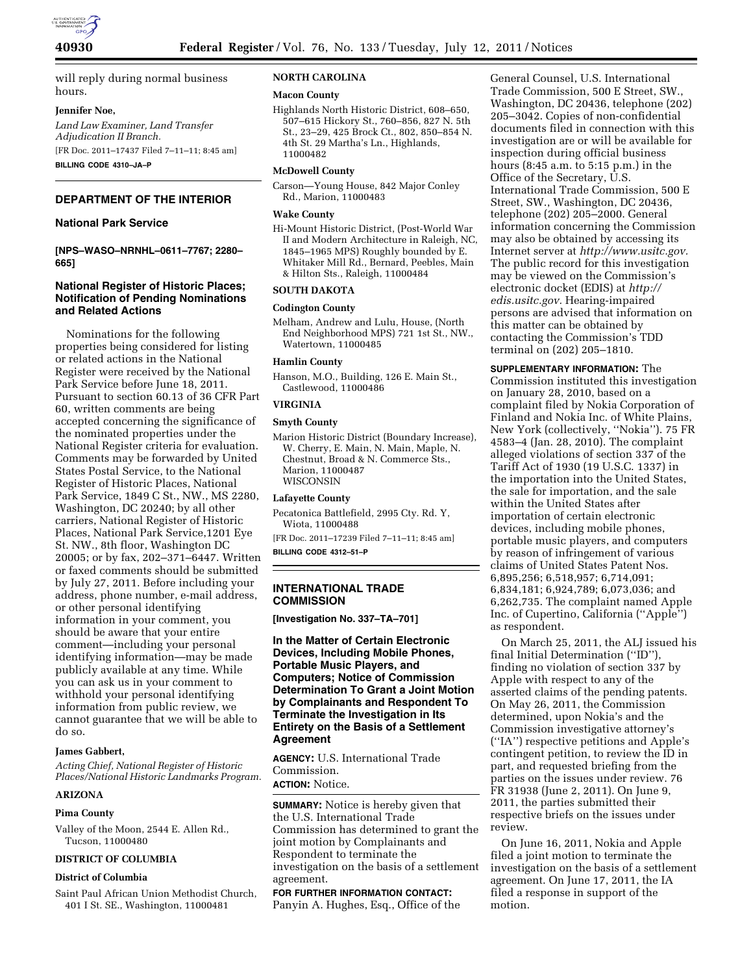

will reply during normal business hours.

#### **Jennifer Noe,**

*Land Law Examiner, Land Transfer Adjudication II Branch.*  [FR Doc. 2011–17437 Filed 7–11–11; 8:45 am] **BILLING CODE 4310–JA–P** 

**DEPARTMENT OF THE INTERIOR** 

# **National Park Service**

**[NPS–WASO–NRNHL–0611–7767; 2280– 665]** 

# **National Register of Historic Places; Notification of Pending Nominations and Related Actions**

Nominations for the following properties being considered for listing or related actions in the National Register were received by the National Park Service before June 18, 2011. Pursuant to section 60.13 of 36 CFR Part 60, written comments are being accepted concerning the significance of the nominated properties under the National Register criteria for evaluation. Comments may be forwarded by United States Postal Service, to the National Register of Historic Places, National Park Service, 1849 C St., NW., MS 2280, Washington, DC 20240; by all other carriers, National Register of Historic Places, National Park Service,1201 Eye St. NW., 8th floor, Washington DC 20005; or by fax, 202–371–6447. Written or faxed comments should be submitted by July 27, 2011. Before including your address, phone number, e-mail address, or other personal identifying information in your comment, you should be aware that your entire comment—including your personal identifying information—may be made publicly available at any time. While you can ask us in your comment to withhold your personal identifying information from public review, we cannot guarantee that we will be able to do so.

#### **James Gabbert,**

*Acting Chief, National Register of Historic Places/National Historic Landmarks Program.* 

#### **ARIZONA**

#### **Pima County**

Valley of the Moon, 2544 E. Allen Rd., Tucson, 11000480

### **DISTRICT OF COLUMBIA**

## **District of Columbia**

Saint Paul African Union Methodist Church, 401 I St. SE., Washington, 11000481

# **NORTH CAROLINA**

#### **Macon County**

Highlands North Historic District, 608–650, 507–615 Hickory St., 760–856, 827 N. 5th St., 23–29, 425 Brock Ct., 802, 850–854 N. 4th St. 29 Martha's Ln., Highlands, 11000482

#### **McDowell County**

Carson—Young House, 842 Major Conley Rd., Marion, 11000483

#### **Wake County**

Hi-Mount Historic District, (Post-World War II and Modern Architecture in Raleigh, NC, 1845–1965 MPS) Roughly bounded by E. Whitaker Mill Rd., Bernard, Peebles, Main & Hilton Sts., Raleigh, 11000484

#### **SOUTH DAKOTA**

#### **Codington County**

Melham, Andrew and Lulu, House, (North End Neighborhood MPS) 721 1st St., NW., Watertown, 11000485

#### **Hamlin County**

Hanson, M.O., Building, 126 E. Main St., Castlewood, 11000486

# **VIRGINIA**

# **Smyth County**

Marion Historic District (Boundary Increase), W. Cherry, E. Main, N. Main, Maple, N. Chestnut, Broad & N. Commerce Sts., Marion, 11000487 WISCONSIN

#### **Lafayette County**

Pecatonica Battlefield, 2995 Cty. Rd. Y, Wiota, 11000488

[FR Doc. 2011–17239 Filed 7–11–11; 8:45 am] **BILLING CODE 4312–51–P** 

#### **INTERNATIONAL TRADE COMMISSION**

**[Investigation No. 337–TA–701]** 

# **In the Matter of Certain Electronic Devices, Including Mobile Phones, Portable Music Players, and Computers; Notice of Commission Determination To Grant a Joint Motion by Complainants and Respondent To Terminate the Investigation in Its Entirety on the Basis of a Settlement Agreement**

**AGENCY:** U.S. International Trade Commission.

# **ACTION:** Notice.

**SUMMARY:** Notice is hereby given that the U.S. International Trade Commission has determined to grant the joint motion by Complainants and Respondent to terminate the investigation on the basis of a settlement agreement.

# **FOR FURTHER INFORMATION CONTACT:**

Panyin A. Hughes, Esq., Office of the

General Counsel, U.S. International Trade Commission, 500 E Street, SW., Washington, DC 20436, telephone (202) 205–3042. Copies of non-confidential documents filed in connection with this investigation are or will be available for inspection during official business hours (8:45 a.m. to 5:15 p.m.) in the Office of the Secretary, U.S. International Trade Commission, 500 E Street, SW., Washington, DC 20436, telephone (202) 205–2000. General information concerning the Commission may also be obtained by accessing its Internet server at *[http://www.usitc.gov.](http://www.usitc.gov)*  The public record for this investigation may be viewed on the Commission's electronic docket (EDIS) at *[http://](http://edis.usitc.gov)  [edis.usitc.gov.](http://edis.usitc.gov)* Hearing-impaired persons are advised that information on this matter can be obtained by contacting the Commission's TDD terminal on (202) 205–1810.

**SUPPLEMENTARY INFORMATION:** The Commission instituted this investigation on January 28, 2010, based on a complaint filed by Nokia Corporation of Finland and Nokia Inc. of White Plains, New York (collectively, ''Nokia''). 75 FR 4583–4 (Jan. 28, 2010). The complaint alleged violations of section 337 of the Tariff Act of 1930 (19 U.S.C. 1337) in the importation into the United States, the sale for importation, and the sale within the United States after importation of certain electronic devices, including mobile phones, portable music players, and computers by reason of infringement of various claims of United States Patent Nos. 6,895,256; 6,518,957; 6,714,091; 6,834,181; 6,924,789; 6,073,036; and 6,262,735. The complaint named Apple Inc. of Cupertino, California (''Apple'') as respondent.

On March 25, 2011, the ALJ issued his final Initial Determination (''ID''), finding no violation of section 337 by Apple with respect to any of the asserted claims of the pending patents. On May 26, 2011, the Commission determined, upon Nokia's and the Commission investigative attorney's (''IA'') respective petitions and Apple's contingent petition, to review the ID in part, and requested briefing from the parties on the issues under review. 76 FR 31938 (June 2, 2011). On June 9, 2011, the parties submitted their respective briefs on the issues under review.

On June 16, 2011, Nokia and Apple filed a joint motion to terminate the investigation on the basis of a settlement agreement. On June 17, 2011, the IA filed a response in support of the motion.